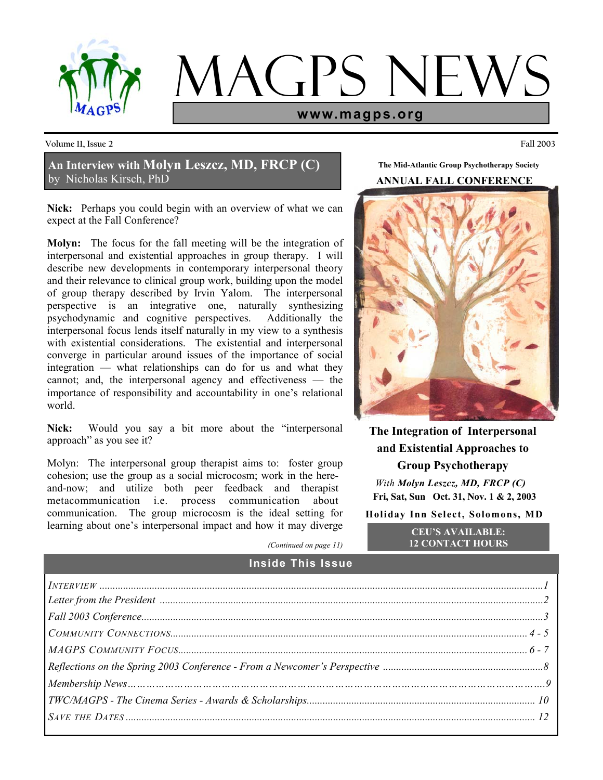

# **IAGPS NE www.magps.org**

**Volume 11, Issue 2 Fall 2003** 

**An Interview with Molyn Leszcz, MD, FRCP (C)** by Nicholas Kirsch, PhD

**Nick:** Perhaps you could begin with an overview of what we can expect at the Fall Conference?

**Molyn:** The focus for the fall meeting will be the integration of interpersonal and existential approaches in group therapy. I will describe new developments in contemporary interpersonal theory and their relevance to clinical group work, building upon the model of group therapy described by Irvin Yalom. The interpersonal perspective is an integrative one, naturally synthesizing psychodynamic and cognitive perspectives. Additionally the interpersonal focus lends itself naturally in my view to a synthesis with existential considerations. The existential and interpersonal converge in particular around issues of the importance of social integration — what relationships can do for us and what they cannot; and, the interpersonal agency and effectiveness — the importance of responsibility and accountability in one's relational world.

Nick: Would you say a bit more about the "interpersonal" approach" as you see it?

Molyn: The interpersonal group therapist aims to: foster group cohesion; use the group as a social microcosm; work in the hereand-now; and utilize both peer feedback and therapist metacommunication i.e. process communication about communication. The group microcosm is the ideal setting for learning about one's interpersonal impact and how it may diverge

**The Mid-Atlantic Group Psychotherapy Society** 

## **ANNUAL FALL CONFERENCE**



**The Integration of Interpersonal and Existential Approaches to Group Psychotherapy**  *With Molyn Leszcz, MD, FRCP (C)* **Fri, Sat, Sun Oct. 31, Nov. 1 & 2, 2003 Holiday Inn Select, Solomons, MD** 

> **CEU'S AVAILABLE: 12 CONTACT HOURS**

*(Continued on page 11)* 

**Inside This Issue** 

| $\boxed{Fall\ 2003\ Conference.\ 1.3}$ |  |
|----------------------------------------|--|
|                                        |  |
|                                        |  |
|                                        |  |
|                                        |  |
|                                        |  |
|                                        |  |
|                                        |  |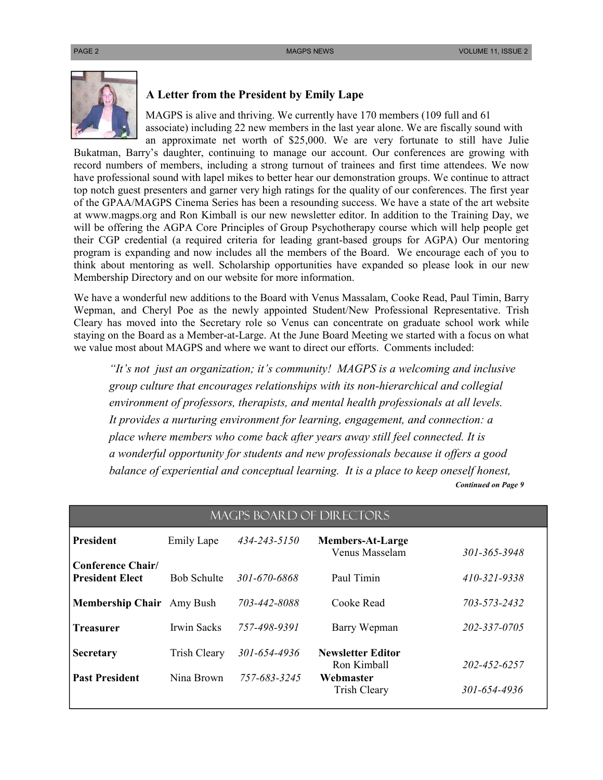

## **A Letter from the President by Emily Lape**

 MAGPS is alive and thriving. We currently have 170 members (109 full and 61 associate) including 22 new members in the last year alone. We are fiscally sound with an approximate net worth of \$25,000. We are very fortunate to still have Julie

Bukatman, Barry's daughter, continuing to manage our account. Our conferences are growing with record numbers of members, including a strong turnout of trainees and first time attendees. We now have professional sound with lapel mikes to better hear our demonstration groups. We continue to attract top notch guest presenters and garner very high ratings for the quality of our conferences. The first year of the GPAA/MAGPS Cinema Series has been a resounding success. We have a state of the art website at www.magps.org and Ron Kimball is our new newsletter editor. In addition to the Training Day, we will be offering the AGPA Core Principles of Group Psychotherapy course which will help people get their CGP credential (a required criteria for leading grant-based groups for AGPA) Our mentoring program is expanding and now includes all the members of the Board. We encourage each of you to think about mentoring as well. Scholarship opportunities have expanded so please look in our new Membership Directory and on our website for more information.

We have a wonderful new additions to the Board with Venus Massalam, Cooke Read, Paul Timin, Barry Wepman, and Cheryl Poe as the newly appointed Student/New Professional Representative. Trish Cleary has moved into the Secretary role so Venus can concentrate on graduate school work while staying on the Board as a Member-at-Large. At the June Board Meeting we started with a focus on what we value most about MAGPS and where we want to direct our efforts. Comments included:

*"It's not just an organization; it's community! MAGPS is a welcoming and inclusive group culture that encourages relationships with its non-hierarchical and collegial environment of professors, therapists, and mental health professionals at all levels. It provides a nurturing environment for learning, engagement, and connection: a place where members who come back after years away still feel connected. It is a wonderful opportunity for students and new professionals because it offers a good balance of experiential and conceptual learning. It is a place to keep oneself honest,*  *Continued on Page 9*

**President** Emily Lape *434-243-5150* **Members-At-Large** Venus Masselam *301-365-3948*  **Conference Chair/ President Elect** Bob Schulte *301-670-6868* Paul Timin *410-321-9338*  **Membership Chair** Amy Bush *703-442-8088* Cooke Read *703-573-2432*  **Treasurer** Irwin Sacks *757-498-9391* Barry Wepman *202-337-0705*  **Secretary** Trish Cleary *301-654-4936* **Newsletter Editor** Ron Kimball *202-452-6257* **Past President** Nina Brown *757-683-3245* **Webmaster**  Trish Cleary *301-654-4936*  MAGPS BOARD OF dIRECTORS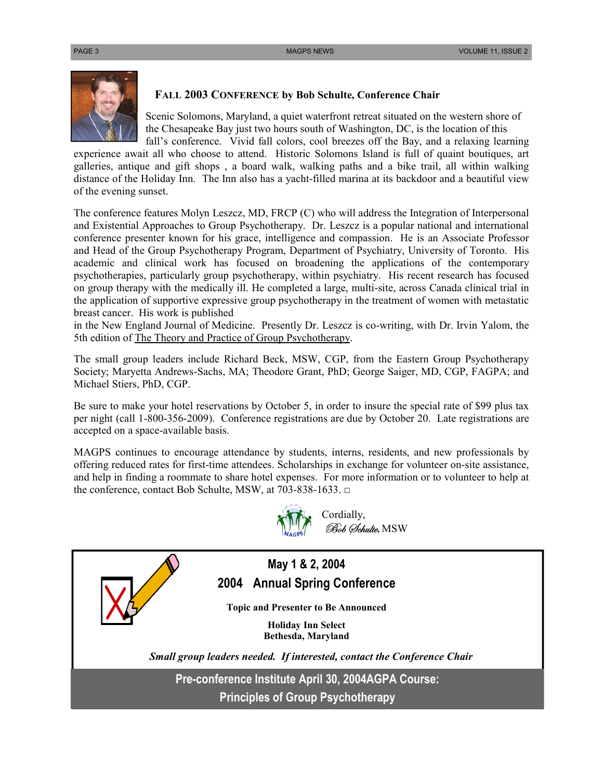

## **FALL 2003 CONFERENCE by Bob Schulte, Conference Chair**

 Scenic Solomons, Maryland, a quiet waterfront retreat situated on the western shore of the Chesapeake Bay just two hours south of Washington, DC, is the location of this fall's conference. Vivid fall colors, cool breezes off the Bay, and a relaxing learning

experience await all who choose to attend. Historic Solomons Island is full of quaint boutiques, art galleries, antique and gift shops , a board walk, walking paths and a bike trail, all within walking distance of the Holiday Inn. The Inn also has a yacht-filled marina at its backdoor and a beautiful view of the evening sunset.

The conference features Molyn Leszcz, MD, FRCP (C) who will address the Integration of Interpersonal and Existential Approaches to Group Psychotherapy. Dr. Leszcz is a popular national and international conference presenter known for his grace, intelligence and compassion. He is an Associate Professor and Head of the Group Psychotherapy Program, Department of Psychiatry, University of Toronto. His academic and clinical work has focused on broadening the applications of the contemporary psychotherapies, particularly group psychotherapy, within psychiatry. His recent research has focused on group therapy with the medically ill. He completed a large, multi-site, across Canada clinical trial in the application of supportive expressive group psychotherapy in the treatment of women with metastatic breast cancer. His work is published

in the New England Journal of Medicine. Presently Dr. Leszcz is co-writing, with Dr. Irvin Yalom, the 5th edition of The Theory and Practice of Group Psychotherapy.

The small group leaders include Richard Beck, MSW, CGP, from the Eastern Group Psychotherapy Society; Maryetta Andrews-Sachs, MA; Theodore Grant, PhD; George Saiger, MD, CGP, FAGPA; and Michael Stiers, PhD, CGP.

Be sure to make your hotel reservations by October 5, in order to insure the special rate of \$99 plus tax per night (call 1-800-356-2009). Conference registrations are due by October 20. Late registrations are accepted on a space-available basis.

MAGPS continues to encourage attendance by students, interns, residents, and new professionals by offering reduced rates for first-time attendees. Scholarships in exchange for volunteer on-site assistance, and help in finding a roommate to share hotel expenses. For more information or to volunteer to help at the conference, contact Bob Schulte, MSW, at 703-838-1633. □



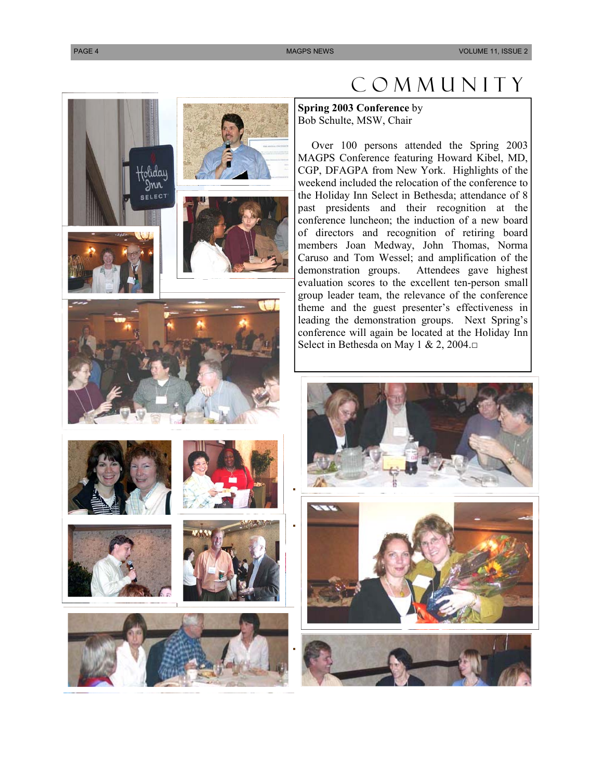# iday )nn  $E1EC$

# Community

**Spring 2003 Conference** by Bob Schulte, MSW, Chair

 Over 100 persons attended the Spring 2003 MAGPS Conference featuring Howard Kibel, MD, CGP, DFAGPA from New York. Highlights of the weekend included the relocation of the conference to the Holiday Inn Select in Bethesda; attendance of 8 past presidents and their recognition at the conference luncheon; the induction of a new board of directors and recognition of retiring board members Joan Medway, John Thomas, Norma Caruso and Tom Wessel; and amplification of the demonstration groups. Attendees gave highest evaluation scores to the excellent ten-person small group leader team, the relevance of the conference theme and the guest presenter's effectiveness in leading the demonstration groups. Next Spring's conference will again be located at the Holiday Inn Select in Bethesda on May 1 & 2, 2004.□





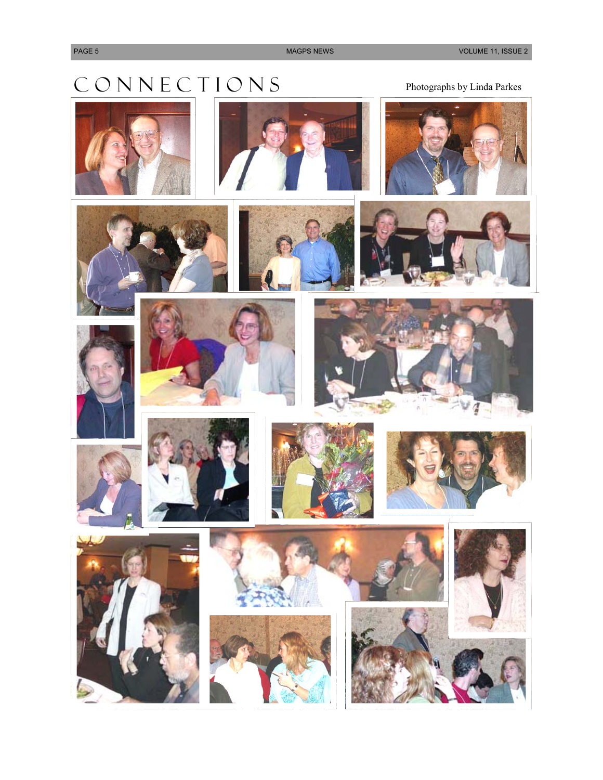# $\begin{array}{ll} \displaystyle \mathsf{C}\ \mathsf{O}\ \mathsf{N}\ \mathsf{N}\ \mathsf{E}\ \mathsf{C}\ \mathsf{T}\ \mathsf{I}\ \mathsf{O}\ \mathsf{N}\ \mathsf{S} \end{array} \qquad \qquad \qquad \text{Photographs by Linda Parks}$





















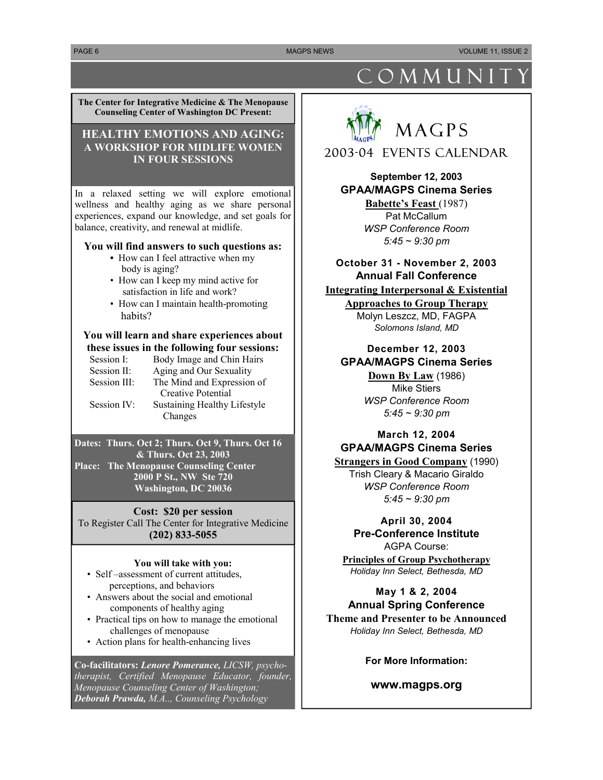PAGE 6 MAGPS NEWS AND RELEASED AT A RELEASED MAGPS NEWS A RELEASED AT A RELEASED MAGPS NEWS AND RELEASED AT A RELEASED AT A RELEASED AND RELEASED AT A RELEASED AND RELEASED AT A RELEASED AND RELEASED AT A RELEASED AND RELE

**The Center for Integrative Medicine & The Menopause Counseling Center of Washington DC Present:**

## **HEALTHY EMOTIONS AND AGING: A WORKSHOP FOR MIDLIFE WOMEN IN FOUR SESSIONS**

In a relaxed setting we will explore emotional wellness and healthy aging as we share personal experiences, expand our knowledge, and set goals for balance, creativity, and renewal at midlife.

## **You will find answers to such questions as:**

- How can I feel attractive when my body is aging?
- How can I keep my mind active for satisfaction in life and work?
- How can I maintain health-promoting habits?

## **You will learn and share experiences about these issues in the following four sessions:**

- Session I: Body Image and Chin Hairs
- Session II: Aging and Our Sexuality
- Session III: The Mind and Expression of Creative Potential Session IV: Sustaining Healthy Lifestyle Changes

## **Dates: Thurs. Oct 2; Thurs. Oct 9, Thurs. Oct 16 & Thurs. Oct 23, 2003**

**Place: The Menopause Counseling Center 2000 P St., NW Ste 720 Washington, DC 20036** 

## **Cost: \$20 per session**

To Register Call The Center for Integrative Medicine **(202) 833-5055** 

## **You will take with you:**

- Self –assessment of current attitudes, perceptions, and behaviors
- Answers about the social and emotional components of healthy aging
- Practical tips on how to manage the emotional challenges of menopause
- Action plans for health-enhancing lives

**Co-facilitators:** *Lenore Pomerance, LICSW, psychotherapist, Certified Menopause Educator, founder, Menopause Counseling Center of Washington; Deborah Prawda, M.A.., Counseling Psychology* 

# COMMUNIT



2003-04 Events Calendar

**September 12, 2003 GPAA/MAGPS Cinema Series** 

> **Babette's Feast** (1987) Pat McCallum *WSP Conference Room 5:45 ~ 9:30 pm*

## **October 31 - November 2, 2003 Annual Fall Conference**

## **Integrating Interpersonal & Existential**

**Approaches to Group Therapy** Molyn Leszcz, MD, FAGPA *Solomons Island, MD* 

## **December 12, 2003 GPAA/MAGPS Cinema Series**

**Down By Law** (1986) Mike Stiers *WSP Conference Room 5:45 ~ 9:30 pm* 

## **March 12, 2004 GPAA/MAGPS Cinema Series**

**Strangers in Good Company** (1990) Trish Cleary & Macario Giraldo *WSP Conference Room 5:45 ~ 9:30 pm* 

## **April 30, 2004 Pre-Conference Institute**

AGPA Course: **Principles of Group Psychotherapy** *Holiday Inn Select, Bethesda, MD* 

## **May 1 & 2, 2004 Annual Spring Conference**

**Theme and Presenter to be Announced**  *Holiday Inn Select, Bethesda, MD* 

## **For More Information:**

## **www.magps.org**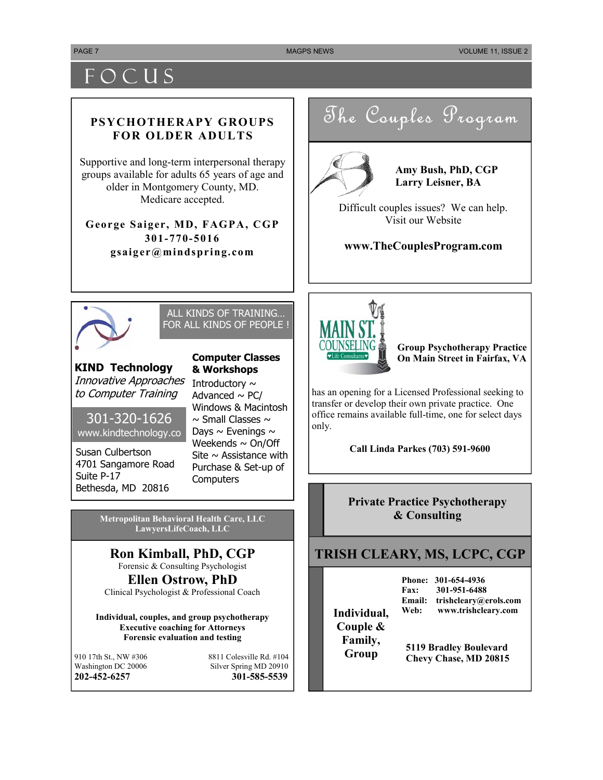# **FOCUS**

## **PSYCHOTHERAPY GROUPS FOR OLDER ADULTS**

Supportive and long-term interpersonal therapy groups available for adults 65 years of age and older in Montgomery County, MD. Medicare accepted.

**George Saiger, MD, FAGPA, CGP 301-770-5016 gsaiger@mindspring.com** 

The Couples Program



**Amy Bush, PhD, CGP Larry Leisner, BA** 

Difficult couples issues? We can help. Visit our Website

**www.TheCouplesProgram.com** 



## ALL KINDS OF TRAINING… FOR ALL KINDS OF PEOPLE !

**KIND Technology**  Innovative Approaches to Computer Training

301-320-1626 www.kindtechnology.co

Susan Culbertson 4701 Sangamore Road Suite P-17 Bethesda, MD 20816

Introductory  $\sim$ Advanced  $\sim$  PC/ Windows & Macintosh  $\sim$  Small Classes  $\sim$ Days  $\sim$  Evenings  $\sim$ Weekends  $\sim$  On/Off Site  $\sim$  Assistance with Purchase & Set-up of **Computers** 

**Computer Classes & Workshops** 

**Metropolitan Behavioral Health Care, LLC LawyersLifeCoach, LLC** 

## **Ron Kimball, PhD, CGP**  Forensic & Consulting Psychologist

**Ellen Ostrow, PhD** 

Clinical Psychologist & Professional Coach

**Individual, couples, and group psychotherapy Executive coaching for Attorneys Forensic evaluation and testing** 

910 17th St., NW #306 8811 Colesville Rd. #104<br>Washington DC 20006 8ilver Spring MD 20910 Silver Spring MD 20910 **202-452-6257 301-585-5539**



**Group Psychotherapy Practice On Main Street in Fairfax, VA** 

has an opening for a Licensed Professional seeking to transfer or develop their own private practice. One office remains available full-time, one for select days only.

**Call Linda Parkes (703) 591-9600** 

**Private Practice Psychotherapy & Consulting** 

## **TRISH CLEARY, MS, LCPC, CGP**

**Phone: 301-654-4936 Fax: 301-951-6488 Email: trishcleary@erols.com Web: www.trishcleary.com Individual,** 

**Couple & Family,** 

**Group** 5119 Bradley Boulevard **Chevy Chase, MD 20815**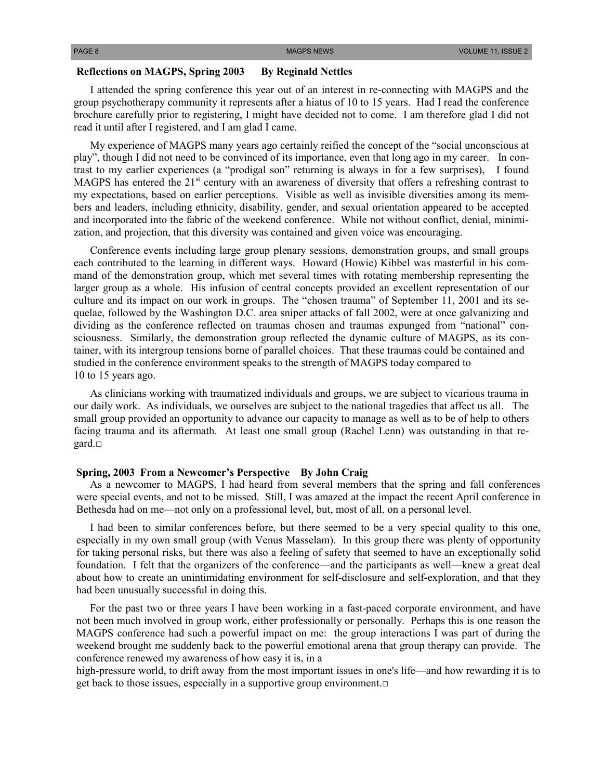## **Reflections on MAGPS, Spring 2003 By Reginald Nettles**

 I attended the spring conference this year out of an interest in re-connecting with MAGPS and the group psychotherapy community it represents after a hiatus of 10 to 15 years. Had I read the conference brochure carefully prior to registering, I might have decided not to come. I am therefore glad I did not read it until after I registered, and I am glad I came.

 My experience of MAGPS many years ago certainly reified the concept of the "social unconscious at play", though I did not need to be convinced of its importance, even that long ago in my career. In contrast to my earlier experiences (a "prodigal son" returning is always in for a few surprises), I found MAGPS has entered the 21<sup>st</sup> century with an awareness of diversity that offers a refreshing contrast to my expectations, based on earlier perceptions. Visible as well as invisible diversities among its members and leaders, including ethnicity, disability, gender, and sexual orientation appeared to be accepted and incorporated into the fabric of the weekend conference. While not without conflict, denial, minimization, and projection, that this diversity was contained and given voice was encouraging.

 Conference events including large group plenary sessions, demonstration groups, and small groups each contributed to the learning in different ways. Howard (Howie) Kibbel was masterful in his command of the demonstration group, which met several times with rotating membership representing the larger group as a whole. His infusion of central concepts provided an excellent representation of our culture and its impact on our work in groups. The "chosen trauma" of September 11, 2001 and its sequelae, followed by the Washington D.C. area sniper attacks of fall 2002, were at once galvanizing and dividing as the conference reflected on traumas chosen and traumas expunged from "national" consciousness. Similarly, the demonstration group reflected the dynamic culture of MAGPS, as its container, with its intergroup tensions borne of parallel choices. That these traumas could be contained and studied in the conference environment speaks to the strength of MAGPS today compared to 10 to 15 years ago.

 As clinicians working with traumatized individuals and groups, we are subject to vicarious trauma in our daily work. As individuals, we ourselves are subject to the national tragedies that affect us all. The small group provided an opportunity to advance our capacity to manage as well as to be of help to others facing trauma and its aftermath. At least one small group (Rachel Lenn) was outstanding in that regard.□

## **Spring, 2003 From a Newcomer's Perspective By John Craig**

 As a newcomer to MAGPS, I had heard from several members that the spring and fall conferences were special events, and not to be missed. Still, I was amazed at the impact the recent April conference in Bethesda had on me—not only on a professional level, but, most of all, on a personal level.

 I had been to similar conferences before, but there seemed to be a very special quality to this one, especially in my own small group (with Venus Masselam). In this group there was plenty of opportunity for taking personal risks, but there was also a feeling of safety that seemed to have an exceptionally solid foundation. I felt that the organizers of the conference—and the participants as well—knew a great deal about how to create an unintimidating environment for self-disclosure and self-exploration, and that they had been unusually successful in doing this.

 For the past two or three years I have been working in a fast-paced corporate environment, and have not been much involved in group work, either professionally or personally. Perhaps this is one reason the MAGPS conference had such a powerful impact on me: the group interactions I was part of during the weekend brought me suddenly back to the powerful emotional arena that group therapy can provide. The conference renewed my awareness of how easy it is, in a

high-pressure world, to drift away from the most important issues in one's life—and how rewarding it is to get back to those issues, especially in a supportive group environment. $\Box$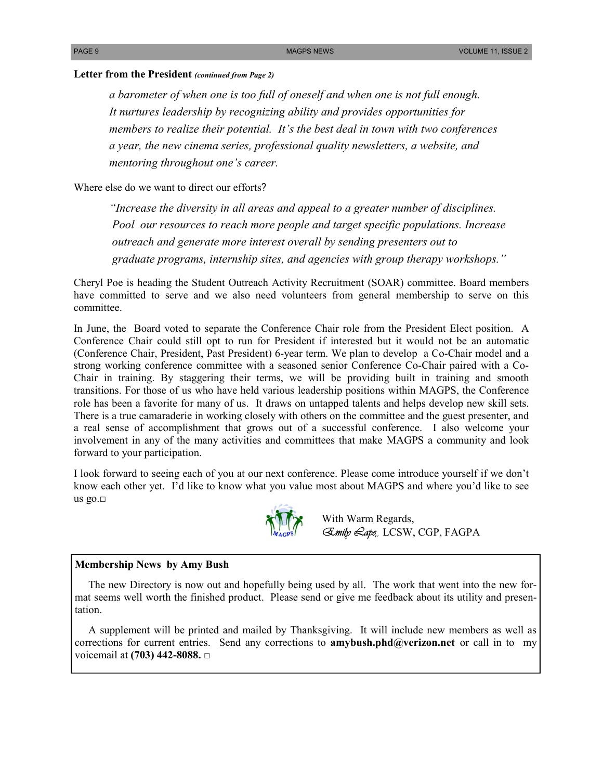## **Letter from the President** *(continued from Page 2)*

*a barometer of when one is too full of oneself and when one is not full enough. It nurtures leadership by recognizing ability and provides opportunities for members to realize their potential. It's the best deal in town with two conferences a year, the new cinema series, professional quality newsletters, a website, and mentoring throughout one's career.* 

Where else do we want to direct our efforts?

*"Increase the diversity in all areas and appeal to a greater number of disciplines. Pool our resources to reach more people and target specific populations. Increase outreach and generate more interest overall by sending presenters out to graduate programs, internship sites, and agencies with group therapy workshops."* 

Cheryl Poe is heading the Student Outreach Activity Recruitment (SOAR) committee. Board members have committed to serve and we also need volunteers from general membership to serve on this committee.

In June, the Board voted to separate the Conference Chair role from the President Elect position. A Conference Chair could still opt to run for President if interested but it would not be an automatic (Conference Chair, President, Past President) 6-year term. We plan to develop a Co-Chair model and a strong working conference committee with a seasoned senior Conference Co-Chair paired with a Co-Chair in training. By staggering their terms, we will be providing built in training and smooth transitions. For those of us who have held various leadership positions within MAGPS, the Conference role has been a favorite for many of us. It draws on untapped talents and helps develop new skill sets. There is a true camaraderie in working closely with others on the committee and the guest presenter, and a real sense of accomplishment that grows out of a successful conference. I also welcome your involvement in any of the many activities and committees that make MAGPS a community and look forward to your participation.

I look forward to seeing each of you at our next conference. Please come introduce yourself if we don't know each other yet. I'd like to know what you value most about MAGPS and where you'd like to see us go. $\square$ <br>With Warm Regards,



*Emily Lape,,* LCSW, CGP, FAGPA

## **Membership News by Amy Bush**

 The new Directory is now out and hopefully being used by all. The work that went into the new format seems well worth the finished product. Please send or give me feedback about its utility and presentation.

 A supplement will be printed and mailed by Thanksgiving. It will include new members as well as corrections for current entries. Send any corrections to **amybush.phd@verizon.net** or call in to my voicemail at **(703) 442-8088.** □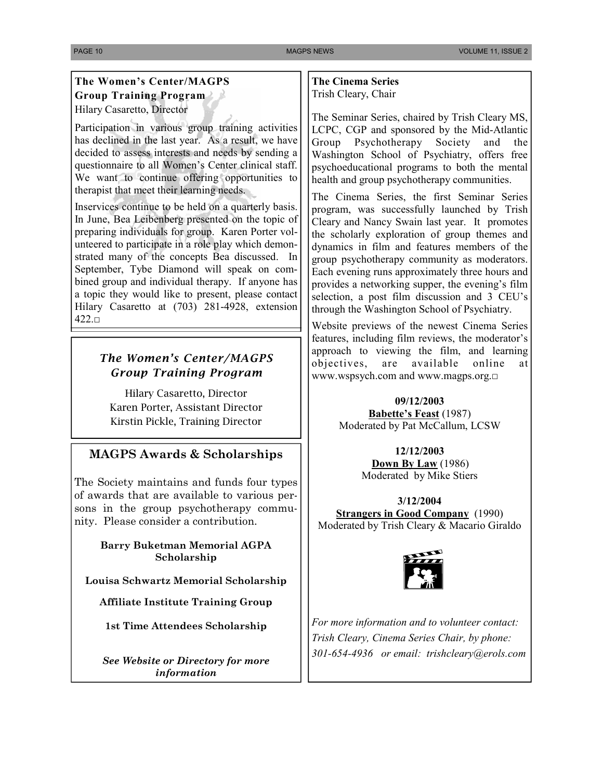## **The Women's Center/MAGPS Group Training Program**  Hilary Casaretto, Director

Participation in various group training activities has declined in the last year. As a result, we have decided to assess interests and needs by sending a questionnaire to all Women's Center clinical staff. We want to continue offering opportunities to therapist that meet their learning needs.

Inservices continue to be held on a quarterly basis. In June, Bea Leibenberg presented on the topic of preparing individuals for group. Karen Porter volunteered to participate in a role play which demonstrated many of the concepts Bea discussed. In September, Tybe Diamond will speak on combined group and individual therapy. If anyone has a topic they would like to present, please contact Hilary Casaretto at (703) 281-4928, extension 422.□

## *The Women's Center/MAGPS Group Training Program*

Hilary Casaretto, Director Karen Porter, Assistant Director Kirstin Pickle, Training Director

## **MAGPS Awards & Scholarships**

The Society maintains and funds four types of awards that are available to various persons in the group psychotherapy community. Please consider a contribution.

> **Barry Buketman Memorial AGPA Scholarship**

**Louisa Schwartz Memorial Scholarship** 

**Affiliate Institute Training Group** 

**1st Time Attendees Scholarship** 

*See Website or Directory for more information* 

**The Cinema Series**  Trish Cleary, Chair

The Seminar Series, chaired by Trish Cleary MS, LCPC, CGP and sponsored by the Mid-Atlantic Group Psychotherapy Society and the Washington School of Psychiatry, offers free psychoeducational programs to both the mental health and group psychotherapy communities.

The Cinema Series, the first Seminar Series program, was successfully launched by Trish Cleary and Nancy Swain last year. It promotes the scholarly exploration of group themes and dynamics in film and features members of the group psychotherapy community as moderators. Each evening runs approximately three hours and provides a networking supper, the evening's film selection, a post film discussion and 3 CEU's through the Washington School of Psychiatry.

Website previews of the newest Cinema Series features, including film reviews, the moderator's approach to viewing the film, and learning objectives, are available online at www.wspsych.com and www.magps.org.□

> **09/12/2003 Babette's Feast** (1987) Moderated by Pat McCallum, LCSW

> > **12/12/2003 Down By Law** (1986) Moderated by Mike Stiers

**3/12/2004 Strangers in Good Company** (1990) Moderated by Trish Cleary & Macario Giraldo



*For more information and to volunteer contact: Trish Cleary, Cinema Series Chair, by phone: 301-654-4936 or email: trishcleary@erols.com*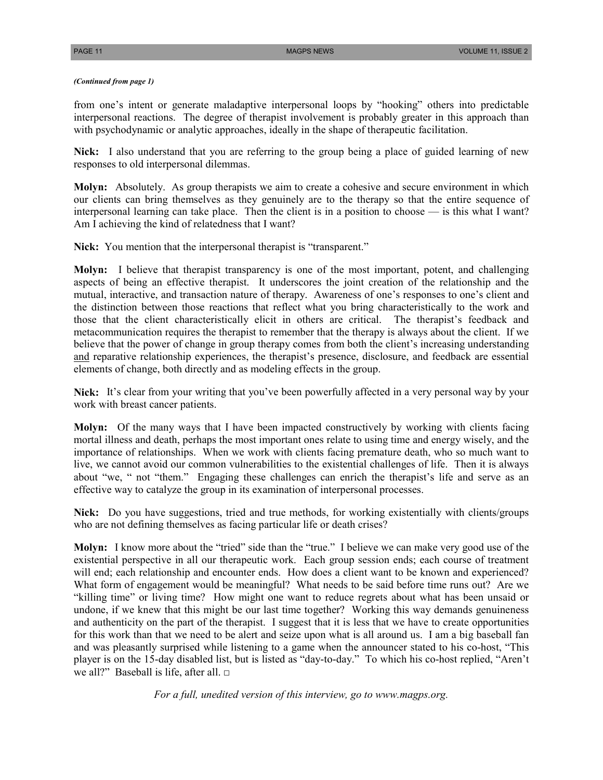### *(Continued from page 1)*

from one's intent or generate maladaptive interpersonal loops by "hooking" others into predictable interpersonal reactions. The degree of therapist involvement is probably greater in this approach than with psychodynamic or analytic approaches, ideally in the shape of therapeutic facilitation.

**Nick:** I also understand that you are referring to the group being a place of guided learning of new responses to old interpersonal dilemmas.

**Molyn:** Absolutely. As group therapists we aim to create a cohesive and secure environment in which our clients can bring themselves as they genuinely are to the therapy so that the entire sequence of interpersonal learning can take place. Then the client is in a position to choose — is this what I want? Am I achieving the kind of relatedness that I want?

Nick: You mention that the interpersonal therapist is "transparent."

**Molyn:** I believe that therapist transparency is one of the most important, potent, and challenging aspects of being an effective therapist. It underscores the joint creation of the relationship and the mutual, interactive, and transaction nature of therapy. Awareness of one's responses to one's client and the distinction between those reactions that reflect what you bring characteristically to the work and those that the client characteristically elicit in others are critical. The therapist's feedback and metacommunication requires the therapist to remember that the therapy is always about the client. If we believe that the power of change in group therapy comes from both the client's increasing understanding and reparative relationship experiences, the therapist's presence, disclosure, and feedback are essential elements of change, both directly and as modeling effects in the group.

**Nick:** It's clear from your writing that you've been powerfully affected in a very personal way by your work with breast cancer patients.

**Molyn:** Of the many ways that I have been impacted constructively by working with clients facing mortal illness and death, perhaps the most important ones relate to using time and energy wisely, and the importance of relationships. When we work with clients facing premature death, who so much want to live, we cannot avoid our common vulnerabilities to the existential challenges of life. Then it is always about "we, " not "them." Engaging these challenges can enrich the therapist's life and serve as an effective way to catalyze the group in its examination of interpersonal processes.

**Nick:** Do you have suggestions, tried and true methods, for working existentially with clients/groups who are not defining themselves as facing particular life or death crises?

**Molyn:** I know more about the "tried" side than the "true." I believe we can make very good use of the existential perspective in all our therapeutic work. Each group session ends; each course of treatment will end; each relationship and encounter ends. How does a client want to be known and experienced? What form of engagement would be meaningful? What needs to be said before time runs out? Are we "killing time" or living time? How might one want to reduce regrets about what has been unsaid or undone, if we knew that this might be our last time together? Working this way demands genuineness and authenticity on the part of the therapist. I suggest that it is less that we have to create opportunities for this work than that we need to be alert and seize upon what is all around us. I am a big baseball fan and was pleasantly surprised while listening to a game when the announcer stated to his co-host, "This player is on the 15-day disabled list, but is listed as "day-to-day." To which his co-host replied, "Aren't we all?" Baseball is life, after all. □

*For a full, unedited version of this interview, go to www.magps.org.*